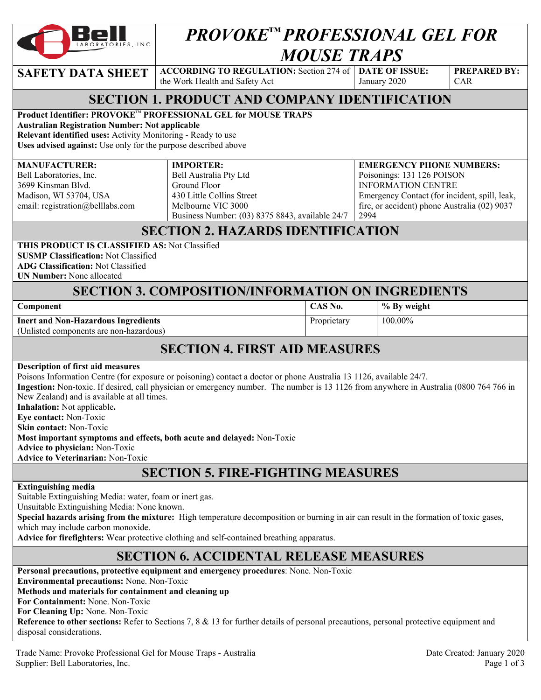

# *PROVOKE™ PROFESSIONAL GEL FOR MOUSE TRAPS*

**SAFETY DATA SHEET**  $\begin{bmatrix} \text{ACCORDING TO REGULATION: Section 274 of } \end{bmatrix}$  **DATE OF ISSUE:** the Work Health and Safety Act

January 2020

**PREPARED BY:**  CAR

#### **SECTION 1. PRODUCT AND COMPANY IDENTIFICATION**

#### **Product Identifier: PROVOKE**™ **PROFESSIONAL GEL for MOUSE TRAPS**

**Australian Registration Number: Not applicable** 

**Relevant identified uses:** Activity Monitoring - Ready to use

**Uses advised against:** Use only for the purpose described above

#### **MANUFACTURER:**

**IMPORTER:** 

Bell Laboratories, Inc. 3699 Kinsman Blvd. Madison, WI 53704, USA email: registration@belllabs.com

#### Bell Australia Pty Ltd

Ground Floor 430 Little Collins Street Melbourne VIC 3000 Business Number: (03) 8375 8843, available 24/7

#### **EMERGENCY PHONE NUMBERS:**  Poisonings: 131 126 POISON INFORMATION CENTRE Emergency Contact (for incident, spill, leak, fire, or accident) phone Australia (02) 9037 2994

### **SECTION 2. HAZARDS IDENTIFICATION**

**THIS PRODUCT IS CLASSIFIED AS:** Not Classified **SUSMP Classification:** Not Classified

**ADG Classification:** Not Classified

**UN Number:** None allocated

#### **SECTION 3. COMPOSITION/INFORMATION ON INGREDIENTS**

| Component |
|-----------|
|-----------|

**CAS No.** % By weight Proprietary 100.00%

**Inert and Non-Hazardous Ingredients**  (Unlisted components are non-hazardous)

## **SECTION 4. FIRST AID MEASURES**

#### **Description of first aid measures**

Poisons Information Centre (for exposure or poisoning) contact a doctor or phone Australia 13 1126, available 24/7. **Ingestion:** Non-toxic. If desired, call physician or emergency number. The number is 13 1126 from anywhere in Australia (0800 764 766 in New Zealand) and is available at all times. **Inhalation:** Not applicable**. Eye contact:** Non-Toxic **Skin contact:** Non-Toxic **Most important symptoms and effects, both acute and delayed:** Non-Toxic **Advice to physician:** Non-Toxic

**Advice to Veterinarian:** Non-Toxic

## **SECTION 5. FIRE-FIGHTING MEASURES**

#### **Extinguishing media**

Suitable Extinguishing Media: water, foam or inert gas.

Unsuitable Extinguishing Media: None known.

**Special hazards arising from the mixture:** High temperature decomposition or burning in air can result in the formation of toxic gases, which may include carbon monoxide.

**Advice for firefighters:** Wear protective clothing and self-contained breathing apparatus.

## **SECTION 6. ACCIDENTAL RELEASE MEASURES**

**Personal precautions, protective equipment and emergency procedures**: None. Non-Toxic **Environmental precautions:** None. Non-Toxic **Methods and materials for containment and cleaning up For Containment:** None. Non-Toxic **For Cleaning Up:** None. Non-Toxic **Reference to other sections:** Refer to Sections 7, 8 & 13 for further details of personal precautions, personal protective equipment and disposal considerations.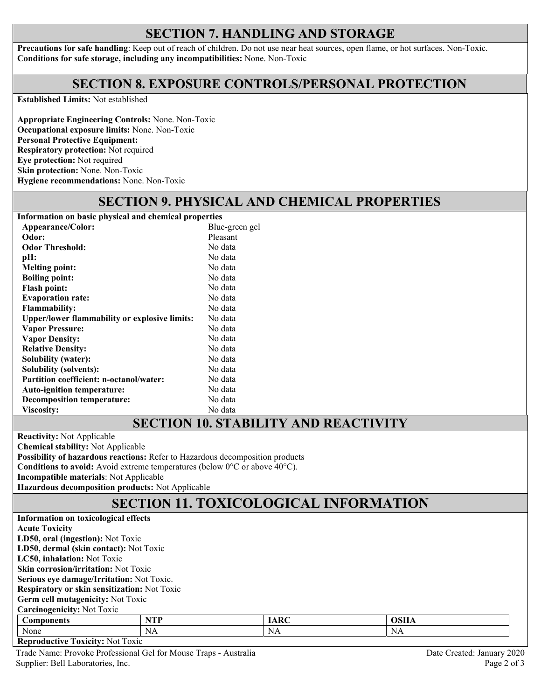#### **SECTION 7. HANDLING AND STORAGE**

**Precautions for safe handling**: Keep out of reach of children. Do not use near heat sources, open flame, or hot surfaces. Non-Toxic. **Conditions for safe storage, including any incompatibilities:** None. Non-Toxic

#### **SECTION 8. EXPOSURE CONTROLS/PERSONAL PROTECTION**

**Established Limits:** Not established

**Appropriate Engineering Controls:** None. Non-Toxic **Occupational exposure limits:** None. Non-Toxic **Personal Protective Equipment: Respiratory protection:** Not required **Eye protection:** Not required **Skin protection:** None. Non-Toxic **Hygiene recommendations:** None. Non-Toxic

## **SECTION 9. PHYSICAL AND CHEMICAL PROPERTIES**

**Information on basic physical and chemical properties Appearance/Color:** Blue-green gel<br> **Odor:** Pleasant **Odor:** Pleasant **Odor Threshold:** No data **pH:** No data<br> **Melting point:** No data **Melting point: Boiling point:** No data Flash point: No data **Evaporation rate:** No data **Flammability:** No data **Upper/lower flammability or explosive limits:** No data **Vapor Pressure: Vapor Density:**  No data No data **Relative Density:** No data **Solubility (water):** No data **Solubility (solvents):** No data Partition coefficient: n-octanol/water: No data **Auto-ignition temperature:** No data **Decomposition temperature:** No data Viscosity: No data

#### **SECTION 10. STABILITY AND REACTIVITY**

**Reactivity:** Not Applicable

**Chemical stability:** Not Applicable

**Possibility of hazardous reactions:** Refer to Hazardous decomposition products

**Conditions to avoid:** Avoid extreme temperatures (below 0°C or above 40°C).

**Incompatible materials**: Not Applicable

**Hazardous decomposition products:** Not Applicable

## **SECTION 11. TOXICOLOGICAL INFORMATION**

| Information on toxicological effects         |            |             |             |  |  |  |  |
|----------------------------------------------|------------|-------------|-------------|--|--|--|--|
| <b>Acute Toxicity</b>                        |            |             |             |  |  |  |  |
| LD50, oral (ingestion): Not Toxic            |            |             |             |  |  |  |  |
| LD50, dermal (skin contact): Not Toxic       |            |             |             |  |  |  |  |
| LC50, inhalation: Not Toxic                  |            |             |             |  |  |  |  |
| <b>Skin corrosion/irritation: Not Toxic</b>  |            |             |             |  |  |  |  |
| Serious eye damage/Irritation: Not Toxic.    |            |             |             |  |  |  |  |
| Respiratory or skin sensitization: Not Toxic |            |             |             |  |  |  |  |
| <b>Germ cell mutagenicity:</b> Not Toxic     |            |             |             |  |  |  |  |
| <b>Carcinogenicity: Not Toxic</b>            |            |             |             |  |  |  |  |
| <b>Components</b>                            | <b>NTP</b> | <b>IARC</b> | <b>OSHA</b> |  |  |  |  |
| None                                         | NA         | NA          | NA          |  |  |  |  |

**Reproductive Toxicity:** Not Toxic

Trade Name: Provoke Professional Gel for Mouse Traps - Australia Date Created: January 2020 Supplier: Bell Laboratories, Inc. Page 2 of 3